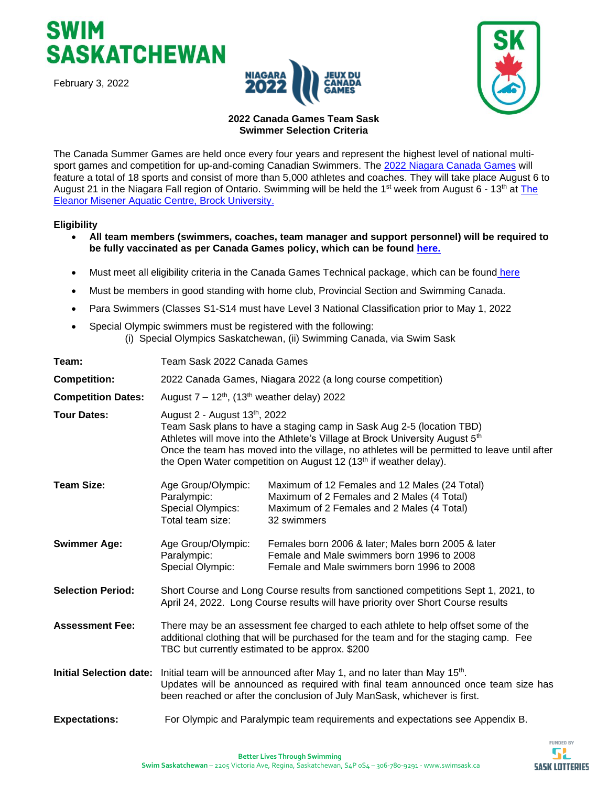





#### **[2022 Canada Games Team Sask](https://www.canadagames.ca/future-games/niagara-2022) Swimmer Selection Criteria**

The Canada Summer Games are held once every four years and represent the highest level of national multisport games and competition for up-and-coming Canadian Swimmers. The 2022 Niagara [Canada Games](https://niagara2022games.ca/) will feature a total of 18 sports and consist of more than 5,000 athletes and coaches. They will take place August 6 to August 21 in the Niagara Fall region of Ontario. Swimming will be held the 1<sup>st</sup> week from August 6 - 13<sup>th</sup> at The [Eleanor Misener Aquatic Centre,](https://brocku.ca/recreation/aquatics) Brock University.

#### **Eligibility**

- **All team members (swimmers, coaches, team manager and support personnel) will be required to be fully vaccinated as per Canada Games policy, which can be found [here.](https://drive.google.com/file/d/1yHnIAGGuD7EkqJbtRjINU_RGXXc0VVi2/view)**
- Must meet all eligibility criteria in the Canada Games Technical package, which can be found [here](https://drive.google.com/file/d/125S5Q79qRoT0gJK30CgpNTskNomcqSGb/view)
- Must be members in good standing with home club, Provincial Section and Swimming Canada.
- Para Swimmers (Classes S1-S14 must have Level 3 National Classification prior to May 1, 2022
- Special Olympic swimmers must be registered with the following: (i) Special Olympics Saskatchewan, (ii) Swimming Canada, via Swim Sask

| Team:                          | Team Sask 2022 Canada Games                                                                                                                                                                                                                                                                                                                                           |                                                                                                                                                          |  |
|--------------------------------|-----------------------------------------------------------------------------------------------------------------------------------------------------------------------------------------------------------------------------------------------------------------------------------------------------------------------------------------------------------------------|----------------------------------------------------------------------------------------------------------------------------------------------------------|--|
| <b>Competition:</b>            | 2022 Canada Games, Niagara 2022 (a long course competition)                                                                                                                                                                                                                                                                                                           |                                                                                                                                                          |  |
| <b>Competition Dates:</b>      | August $7 - 12^{th}$ , (13 <sup>th</sup> weather delay) 2022                                                                                                                                                                                                                                                                                                          |                                                                                                                                                          |  |
| <b>Tour Dates:</b>             | August 2 - August 13th, 2022<br>Team Sask plans to have a staging camp in Sask Aug 2-5 (location TBD)<br>Athletes will move into the Athlete's Village at Brock University August 5th<br>Once the team has moved into the village, no athletes will be permitted to leave until after<br>the Open Water competition on August 12 (13 <sup>th</sup> if weather delay). |                                                                                                                                                          |  |
| <b>Team Size:</b>              | Age Group/Olympic:<br>Paralympic:<br>Special Olympics:<br>Total team size:                                                                                                                                                                                                                                                                                            | Maximum of 12 Females and 12 Males (24 Total)<br>Maximum of 2 Females and 2 Males (4 Total)<br>Maximum of 2 Females and 2 Males (4 Total)<br>32 swimmers |  |
| <b>Swimmer Age:</b>            | Age Group/Olympic:<br>Paralympic:<br>Special Olympic:                                                                                                                                                                                                                                                                                                                 | Females born 2006 & later; Males born 2005 & later<br>Female and Male swimmers born 1996 to 2008<br>Female and Male swimmers born 1996 to 2008           |  |
| <b>Selection Period:</b>       | Short Course and Long Course results from sanctioned competitions Sept 1, 2021, to<br>April 24, 2022. Long Course results will have priority over Short Course results                                                                                                                                                                                                |                                                                                                                                                          |  |
| <b>Assessment Fee:</b>         | There may be an assessment fee charged to each athlete to help offset some of the<br>additional clothing that will be purchased for the team and for the staging camp. Fee<br>TBC but currently estimated to be approx. \$200                                                                                                                                         |                                                                                                                                                          |  |
| <b>Initial Selection date:</b> | Initial team will be announced after May 1, and no later than May 15 <sup>th</sup> .<br>Updates will be announced as required with final team announced once team size has<br>been reached or after the conclusion of July ManSask, whichever is first.                                                                                                               |                                                                                                                                                          |  |
| <b>Expectations:</b>           | For Olympic and Paralympic team requirements and expectations see Appendix B.                                                                                                                                                                                                                                                                                         |                                                                                                                                                          |  |

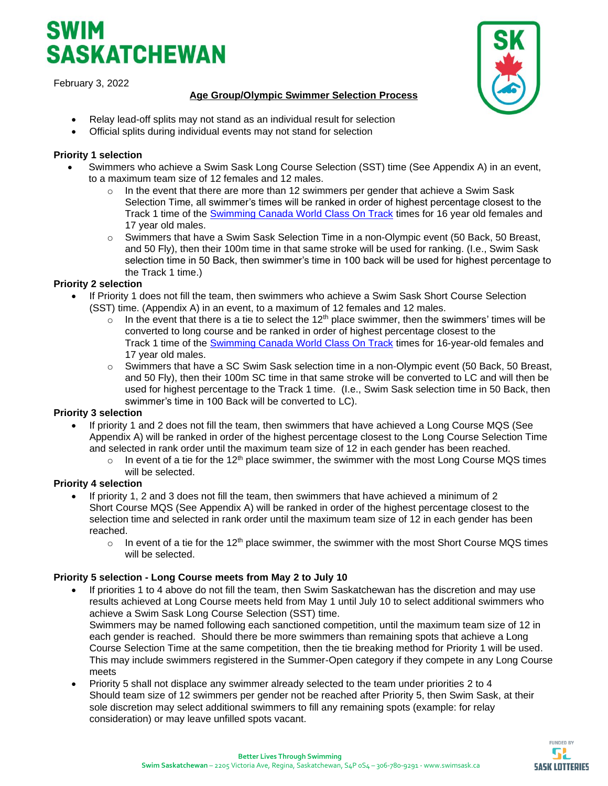# **SASKATCHEWAN**

February 3, 2022



# **Age Group/Olympic Swimmer Selection Process**

- Relay lead-off splits may not stand as an individual result for selection
- Official splits during individual events may not stand for selection

# **Priority 1 selection**

- Swimmers who achieve a Swim Sask Long Course Selection (SST) time (See Appendix A) in an event, to a maximum team size of 12 females and 12 males.
	- $\circ$  In the event that there are more than 12 swimmers per gender that achieve a Swim Sask Selection Time, all swimmer's times will be ranked in order of highest percentage closest to the Track 1 time of the [Swimming Canada World Class On Track](https://www.swimming.ca/content/uploads/2021/01/On-Track-Times-20211.pdf) times for 16 year old females and 17 year old males.
	- $\circ$  Swimmers that have a Swim Sask Selection Time in a non-Olympic event (50 Back, 50 Breast, and 50 Fly), then their 100m time in that same stroke will be used for ranking. (I.e., Swim Sask selection time in 50 Back, then swimmer's time in 100 back will be used for highest percentage to the Track 1 time.)

# **Priority 2 selection**

- If Priority 1 does not fill the team, then swimmers who achieve a Swim Sask Short Course Selection (SST) time. (Appendix A) in an event, to a maximum of 12 females and 12 males.
	- $\circ$  In the event that there is a tie to select the 12<sup>th</sup> place swimmer, then the swimmers' times will be converted to long course and be ranked in order of highest percentage closest to the Track 1 time of the [Swimming Canada World Class On Track](https://www.swimming.ca/content/uploads/2021/01/On-Track-Times-20211.pdf) times for 16-year-old females and 17 year old males.
	- $\circ$  Swimmers that have a SC Swim Sask selection time in a non-Olympic event (50 Back, 50 Breast, and 50 Fly), then their 100m SC time in that same stroke will be converted to LC and will then be used for highest percentage to the Track 1 time. (I.e., Swim Sask selection time in 50 Back, then swimmer's time in 100 Back will be converted to LC).

## **Priority 3 selection**

- If priority 1 and 2 does not fill the team, then swimmers that have achieved a Long Course MQS (See Appendix A) will be ranked in order of the highest percentage closest to the Long Course Selection Time and selected in rank order until the maximum team size of 12 in each gender has been reached.
	- $\circ$  In event of a tie for the 12<sup>th</sup> place swimmer, the swimmer with the most Long Course MQS times will be selected.

## **Priority 4 selection**

- If priority 1, 2 and 3 does not fill the team, then swimmers that have achieved a minimum of 2 Short Course MQS (See Appendix A) will be ranked in order of the highest percentage closest to the selection time and selected in rank order until the maximum team size of 12 in each gender has been reached.
	- $\circ$  In event of a tie for the 12<sup>th</sup> place swimmer, the swimmer with the most Short Course MQS times will be selected.

## **Priority 5 selection - Long Course meets from May 2 to July 10**

If priorities 1 to 4 above do not fill the team, then Swim Saskatchewan has the discretion and may use results achieved at Long Course meets held from May 1 until July 10 to select additional swimmers who achieve a Swim Sask Long Course Selection (SST) time.

Swimmers may be named following each sanctioned competition, until the maximum team size of 12 in each gender is reached. Should there be more swimmers than remaining spots that achieve a Long Course Selection Time at the same competition, then the tie breaking method for Priority 1 will be used. This may include swimmers registered in the Summer-Open category if they compete in any Long Course meets

• Priority 5 shall not displace any swimmer already selected to the team under priorities 2 to 4 Should team size of 12 swimmers per gender not be reached after Priority 5, then Swim Sask, at their sole discretion *may* select additional swimmers to fill any remaining spots (example: for relay consideration) or may leave unfilled spots vacant.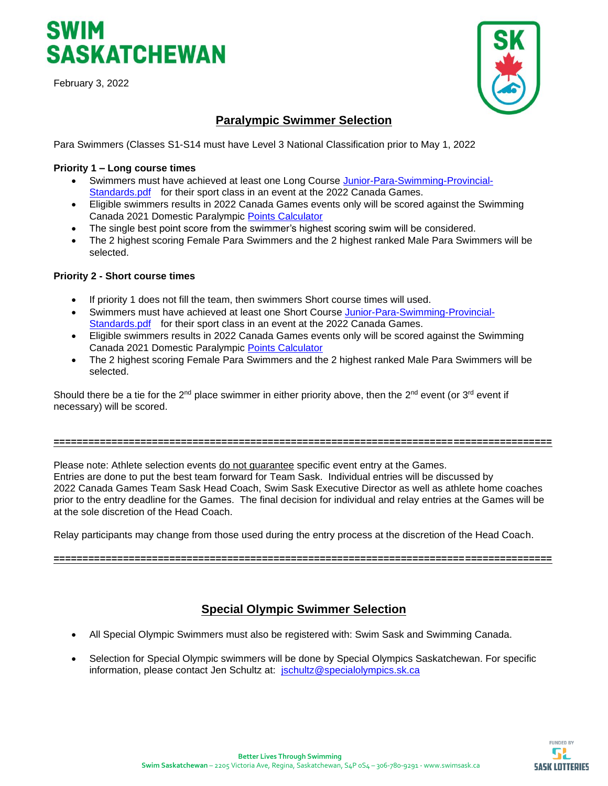# SWIM **SASKATCHEWAN**

February 3, 2022



# **Paralympic Swimmer Selection**

Para Swimmers (Classes S1-S14 must have Level 3 National Classification prior to May 1, 2022

#### **Priority 1 – Long course times**

- Swimmers must have achieved at least one Long Course [Junior-Para-Swimming-Provincial-](https://www.swimming.ca/content/uploads/2021/09/Junior-Para-Swimming-Provincial-Standards.pdf)[Standards.pdf](https://www.swimming.ca/content/uploads/2021/09/Junior-Para-Swimming-Provincial-Standards.pdf) for their sport class in an event at the 2022 Canada Games.
- Eligible swimmers results in 2022 Canada Games events only will be scored against the Swimming Canada 2021 Domestic Paralympic [Points Calculator](https://view.officeapps.live.com/op/view.aspx?src=https%3A%2F%2Fwww.swimming.ca%2Fcontent%2Fuploads%2F2021%2F10%2FSwimming-Canada-2020-Domestic-Paralympic-Points-Calculator_20211112.xlsx&wdOrigin=BROWSELINK)
- The single best point score from the swimmer's highest scoring swim will be considered.
- The 2 highest scoring Female Para Swimmers and the 2 highest ranked Male Para Swimmers will be selected.

#### **Priority 2 - Short course times**

- If priority 1 does not fill the team, then swimmers Short course times will used.
- Swimmers must have achieved at least one Short Course [Junior-Para-Swimming-Provincial-](https://www.swimming.ca/content/uploads/2021/09/Junior-Para-Swimming-Provincial-Standards.pdf)[Standards.pdf](https://www.swimming.ca/content/uploads/2021/09/Junior-Para-Swimming-Provincial-Standards.pdf) for their sport class in an event at the 2022 Canada Games.
- Eligible swimmers results in 2022 Canada Games events only will be scored against the Swimming Canada 2021 Domestic Paralympic [Points Calculator](https://view.officeapps.live.com/op/view.aspx?src=https%3A%2F%2Fwww.swimming.ca%2Fcontent%2Fuploads%2F2021%2F10%2FSwimming-Canada-2020-Domestic-Paralympic-Points-Calculator_20211112.xlsx&wdOrigin=BROWSELINK)
- The 2 highest scoring Female Para Swimmers and the 2 highest ranked Male Para Swimmers will be selected.

Should there be a tie for the 2<sup>nd</sup> place swimmer in either priority above, then the 2<sup>nd</sup> event (or 3<sup>rd</sup> event if necessary) will be scored.

#### **======================================================================================**

Please note: Athlete selection events do not guarantee specific event entry at the Games. Entries are done to put the best team forward for Team Sask. Individual entries will be discussed by 2022 Canada Games Team Sask Head Coach, Swim Sask Executive Director as well as athlete home coaches prior to the entry deadline for the Games. The final decision for individual and relay entries at the Games will be at the sole discretion of the Head Coach.

Relay participants may change from those used during the entry process at the discretion of the Head Coach.

**======================================================================================**

# **Special Olympic Swimmer Selection**

- All Special Olympic Swimmers must also be registered with: Swim Sask and Swimming Canada.
- Selection for Special Olympic swimmers will be done by Special Olympics Saskatchewan. For specific information, please contact Jen Schultz at: [jschultz@specialolympics.sk.ca](mailto:jschultz@specialolympics.sk.ca)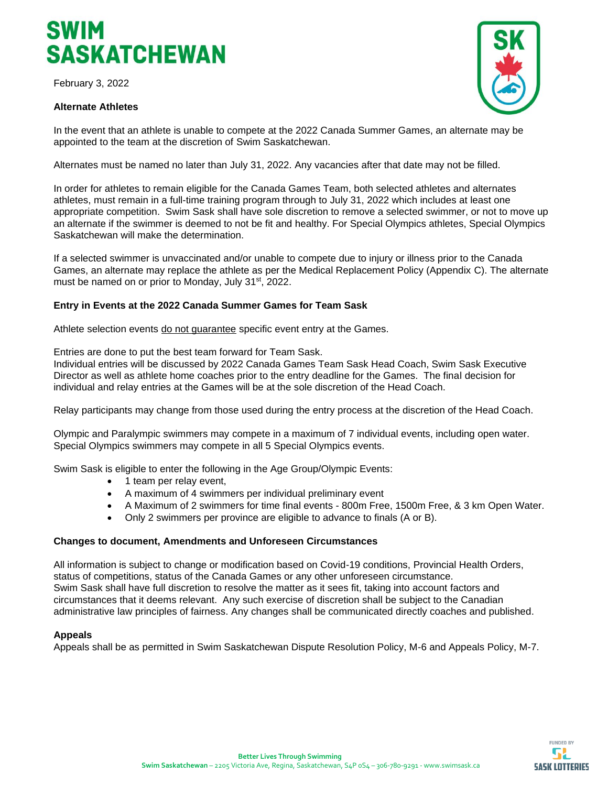

#### **Alternate Athletes**



In the event that an athlete is unable to compete at the 2022 Canada Summer Games, an alternate may be appointed to the team at the discretion of Swim Saskatchewan.

Alternates must be named no later than July 31, 2022. Any vacancies after that date may not be filled.

In order for athletes to remain eligible for the Canada Games Team, both selected athletes and alternates athletes, must remain in a full-time training program through to July 31, 2022 which includes at least one appropriate competition. Swim Sask shall have sole discretion to remove a selected swimmer, or not to move up an alternate if the swimmer is deemed to not be fit and healthy. For Special Olympics athletes, Special Olympics Saskatchewan will make the determination.

If a selected swimmer is unvaccinated and/or unable to compete due to injury or illness prior to the Canada Games, an alternate may replace the athlete as per the Medical Replacement Policy (Appendix C). The alternate must be named on or prior to Monday, July 31<sup>st</sup>, 2022.

#### **Entry in Events at the 2022 Canada Summer Games for Team Sask**

Athlete selection events do not guarantee specific event entry at the Games.

Entries are done to put the best team forward for Team Sask.

Individual entries will be discussed by 2022 Canada Games Team Sask Head Coach, Swim Sask Executive Director as well as athlete home coaches prior to the entry deadline for the Games. The final decision for individual and relay entries at the Games will be at the sole discretion of the Head Coach.

Relay participants may change from those used during the entry process at the discretion of the Head Coach.

Olympic and Paralympic swimmers may compete in a maximum of 7 individual events, including open water. Special Olympics swimmers may compete in all 5 Special Olympics events.

Swim Sask is eligible to enter the following in the Age Group/Olympic Events:

- 1 team per relay event,
- A maximum of 4 swimmers per individual preliminary event
- A Maximum of 2 swimmers for time final events 800m Free, 1500m Free, & 3 km Open Water.
- Only 2 swimmers per province are eligible to advance to finals (A or B).

#### **Changes to document, Amendments and Unforeseen Circumstances**

All information is subject to change or modification based on Covid-19 conditions, Provincial Health Orders, status of competitions, status of the Canada Games or any other unforeseen circumstance. Swim Sask shall have full discretion to resolve the matter as it sees fit, taking into account factors and circumstances that it deems relevant. Any such exercise of discretion shall be subject to the Canadian administrative law principles of fairness. Any changes shall be communicated directly coaches and published.

#### **Appeals**

Appeals shall be as permitted in Swim Saskatchewan Dispute Resolution Policy, M-6 and Appeals Policy, M-7.

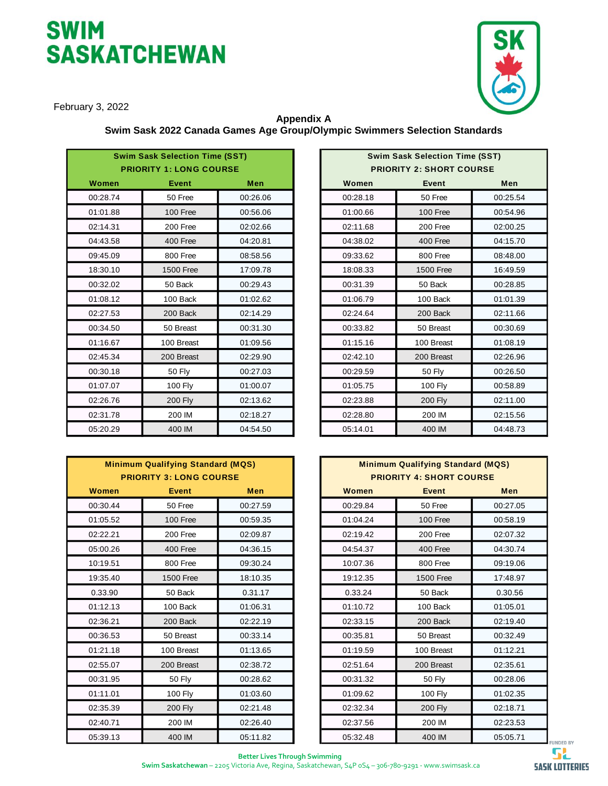# **SWIM SASKATCHEWAN**



February 3, 2022

#### **Appendix A Swim Sask 2022 Canada Games Age Group/Olympic Swimmers Selection Standards**

|          | <b>Swim Sask Selection Time (SST)</b><br><b>PRIORITY 1: LONG COURSE</b> |            |
|----------|-------------------------------------------------------------------------|------------|
| Women    | <b>Event</b>                                                            | <b>Men</b> |
| 00:28.74 | 50 Free                                                                 | 00:26.06   |
| 01:01.88 | 100 Free                                                                | 00:56.06   |
| 02:14.31 | 200 Free                                                                | 02:02.66   |
| 04:43.58 | 400 Free                                                                | 04:20.81   |
| 09:45.09 | 800 Free                                                                | 08:58.56   |
| 18:30.10 | 1500 Free                                                               | 17:09.78   |
| 00:32.02 | 50 Back                                                                 | 00:29.43   |
| 01:08.12 | 100 Back                                                                | 01:02.62   |
| 02:27.53 | 200 Back                                                                | 02:14.29   |
| 00:34.50 | 50 Breast                                                               | 00:31.30   |
| 01:16.67 | 100 Breast                                                              | 01:09.56   |
| 02:45.34 | 200 Breast                                                              | 02:29.90   |
| 00:30.18 | <b>50 Fly</b>                                                           | 00:27.03   |
| 01:07.07 | 100 Fly                                                                 | 01:00.07   |
| 02:26.76 | 200 Fly                                                                 | 02:13.62   |
| 02:31.78 | 200 IM                                                                  | 02:18.27   |
| 05:20.29 | 400 IM                                                                  | 04:54.50   |

|          | <b>Minimum Qualifying Standard (MQS)</b><br><b>PRIORITY 3: LONG COURSE</b> |            |          | <b>Minimum Qualifying Standard (MQS)</b><br><b>PRIORITY 4: SHORT COURSE</b> |            |
|----------|----------------------------------------------------------------------------|------------|----------|-----------------------------------------------------------------------------|------------|
| Women    | Event                                                                      | <b>Men</b> | Women    | <b>Event</b>                                                                | <b>Men</b> |
| 00:30.44 | 50 Free                                                                    | 00:27.59   | 00:29.84 | 50 Free                                                                     | 00:27.05   |
| 01:05.52 | 100 Free                                                                   | 00:59.35   | 01:04.24 | 100 Free                                                                    | 00:58.19   |
| 02:22.21 | 200 Free                                                                   | 02:09.87   | 02:19.42 | 200 Free                                                                    | 02:07.32   |
| 05:00.26 | 400 Free                                                                   | 04:36.15   | 04:54.37 | 400 Free                                                                    | 04:30.74   |
| 10:19.51 | 800 Free                                                                   | 09:30.24   | 10:07.36 | 800 Free                                                                    | 09:19.06   |
| 19:35.40 | <b>1500 Free</b>                                                           | 18:10.35   | 19:12.35 | <b>1500 Free</b>                                                            | 17:48.97   |
| 0.33.90  | 50 Back                                                                    | 0.31.17    | 0.33.24  | 50 Back                                                                     | 0.30.56    |
| 01:12.13 | 100 Back                                                                   | 01:06.31   | 01:10.72 | 100 Back                                                                    | 01:05.01   |
| 02:36.21 | 200 Back                                                                   | 02:22.19   | 02:33.15 | 200 Back                                                                    | 02:19.40   |
| 00:36.53 | 50 Breast                                                                  | 00:33.14   | 00:35.81 | 50 Breast                                                                   | 00:32.49   |
| 01:21.18 | 100 Breast                                                                 | 01:13.65   | 01:19.59 | 100 Breast                                                                  | 01:12.21   |
| 02:55.07 | 200 Breast                                                                 | 02:38.72   | 02:51.64 | 200 Breast                                                                  | 02:35.61   |
| 00:31.95 | 50 Fly                                                                     | 00:28.62   | 00:31.32 | 50 Fly                                                                      | 00:28.06   |
| 01:11.01 | 100 Fly                                                                    | 01:03.60   | 01:09.62 | 100 Fly                                                                     | 01:02.35   |
| 02:35.39 | <b>200 Fly</b>                                                             | 02:21.48   | 02:32.34 | <b>200 Fly</b>                                                              | 02:18.71   |
| 02:40.71 | 200 IM                                                                     | 02:26.40   | 02:37.56 | 200 IM                                                                      | 02:23.53   |
| 05:39.13 | 400 IM                                                                     | 05:11.82   | 05:32.48 | 400 IM                                                                      | 05:05.71   |

| <b>Swim Sask Selection Time (SST)</b><br><b>PRIORITY 1: LONG COURSE</b> |                  |            |
|-------------------------------------------------------------------------|------------------|------------|
| Women                                                                   | <b>Event</b>     | <b>Men</b> |
| 00:28.74                                                                | 50 Free          | 00:26.06   |
| 01:01.88                                                                | 100 Free         | 00:56.06   |
| 02:14.31                                                                | 200 Free         | 02:02.66   |
| 04:43.58                                                                | 400 Free         | 04:20.81   |
| 09:45.09                                                                | 800 Free         | 08:58.56   |
| 18:30.10                                                                | <b>1500 Free</b> | 17:09.78   |
| 00:32.02                                                                | 50 Back          | 00:29.43   |
| 01:08.12                                                                | 100 Back         | 01:02.62   |
| 02:27.53                                                                | 200 Back         | 02:14.29   |
| 00:34.50                                                                | 50 Breast        | 00:31.30   |
| 01:16.67                                                                | 100 Breast       | 01:09.56   |
| 02:45.34                                                                | 200 Breast       | 02:29.90   |
| 00:30.18                                                                | <b>50 Fly</b>    | 00:27.03   |
| 01:07.07                                                                | 100 Fly          | 01:00.07   |
| 02:26.76                                                                | <b>200 Fly</b>   | 02:13.62   |
| 02:31.78                                                                | 200 IM           | 02:18.27   |
| 05:20.29                                                                | 400 IM           | 04:54.50   |

| <b>Minimum Qualifying Standard (MQS)</b><br><b>PRIORITY 4: SHORT COURSE</b> |              |          |  |  |  |
|-----------------------------------------------------------------------------|--------------|----------|--|--|--|
| Women                                                                       | <b>Event</b> | Men      |  |  |  |
| 00:29.84                                                                    | 50 Free      | 00:27.05 |  |  |  |
| 01:04.24                                                                    | 100 Free     | 00:58.19 |  |  |  |
| 02:19.42                                                                    | 200 Free     | 02:07.32 |  |  |  |
| 04:54.37                                                                    | 400 Free     | 04:30.74 |  |  |  |
| 10:07.36                                                                    | 800 Free     | 09:19.06 |  |  |  |
| 19:12.35                                                                    | 1500 Free    | 17:48.97 |  |  |  |
| 0.33.24                                                                     | 50 Back      | 0.30.56  |  |  |  |
| 01:10.72                                                                    | 100 Back     | 01:05.01 |  |  |  |
| 02:33.15                                                                    | 200 Back     | 02:19.40 |  |  |  |
| 00:35.81                                                                    | 50 Breast    | 00:32.49 |  |  |  |
| 01:19.59                                                                    | 100 Breast   | 01:12.21 |  |  |  |
| 02:51.64                                                                    | 200 Breast   | 02:35.61 |  |  |  |
| 00:31.32                                                                    | 50 Fly       | 00:28.06 |  |  |  |
| 01:09.62                                                                    | 100 Fly      | 01:02.35 |  |  |  |
| 02:32.34                                                                    | 200 Fly      | 02:18.71 |  |  |  |
| 02:37.56                                                                    | 200 IM       | 02:23.53 |  |  |  |
| 05:32.48                                                                    | 400 IM       | 05:05.71 |  |  |  |

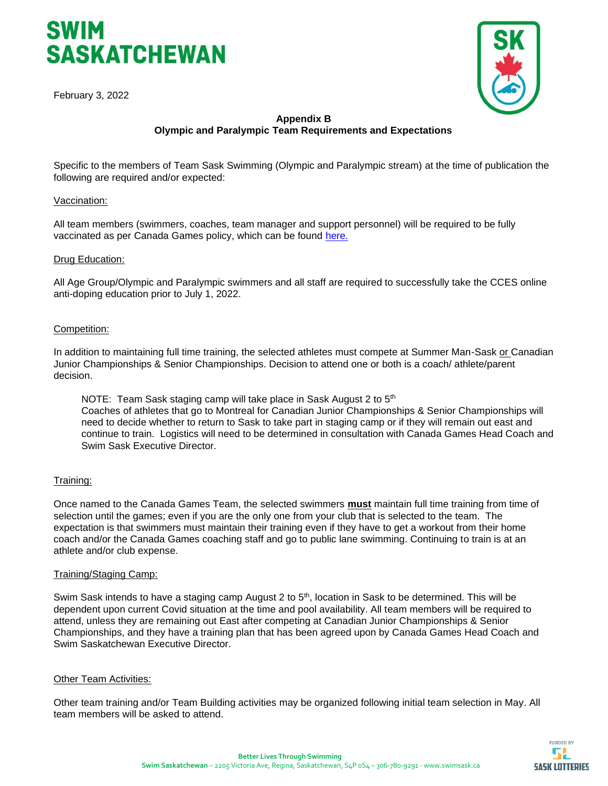



#### **Appendix B Olympic and Paralympic Team Requirements and Expectations**

Specific to the members of Team Sask Swimming (Olympic and Paralympic stream) at the time of publication the following are required and/or expected:

#### Vaccination:

All team members (swimmers, coaches, team manager and support personnel) will be required to be fully vaccinated as per Canada Games policy, which can be found [here.](https://drive.google.com/file/d/1yHnIAGGuD7EkqJbtRjINU_RGXXc0VVi2/view)

#### Drug Education:

All Age Group/Olympic and Paralympic swimmers and all staff are required to successfully take the CCES online anti-doping education prior to July 1, 2022.

#### Competition:

In addition to maintaining full time training, the selected athletes must compete at Summer Man-Sask or Canadian Junior Championships & Senior Championships. Decision to attend one or both is a coach/ athlete/parent decision.

NOTE: Team Sask staging camp will take place in Sask August 2 to  $5<sup>th</sup>$ Coaches of athletes that go to Montreal for Canadian Junior Championships & Senior Championships will need to decide whether to return to Sask to take part in staging camp or if they will remain out east and continue to train. Logistics will need to be determined in consultation with Canada Games Head Coach and Swim Sask Executive Director.

#### Training:

Once named to the Canada Games Team, the selected swimmers *must* maintain full time training from time of selection until the games; even if you are the only one from your club that is selected to the team. The expectation is that swimmers must maintain their training even if they have to get a workout from their home coach and/or the Canada Games coaching staff and go to public lane swimming. Continuing to train is at an athlete and/or club expense.

#### Training/Staging Camp:

Swim Sask intends to have a staging camp August 2 to 5<sup>th</sup>, location in Sask to be determined. This will be dependent upon current Covid situation at the time and pool availability. All team members will be required to attend, unless they are remaining out East after competing at Canadian Junior Championships & Senior Championships, and they have a training plan that has been agreed upon by Canada Games Head Coach and Swim Saskatchewan Executive Director.

#### Other Team Activities:

Other team training and/or Team Building activities may be organized following initial team selection in May. All team members will be asked to attend.